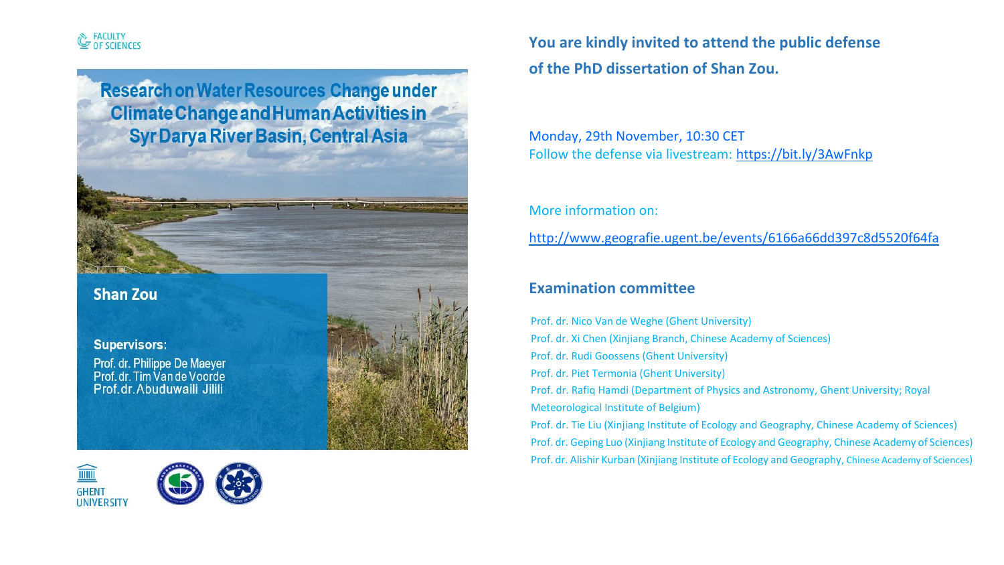# FACULTY<br>OF SCIENCES

**Research on Water Resources Change under Climate Change and Human Activities in Syr Darya River Basin, Central Asia** 

# **Shan Zou**





**You are kindly invited to attend the public defense of the PhD dissertation of Shan Zou.**

Monday, 29th November, 10:30 CET Follow the defense via livestream: https://bit.ly/3AwFnkp

More information on:

http://www.geografie.ugent.be/events/6166a66dd397c8d5520f64fa

## **Examination committee**

 Prof. dr. Nico Van de Weghe (Ghent University) Supervisors: Supervisors: Entertainment of Sciences) and the state of Sciences of Sciences and The Supervisors: Prof. dr. Philippe De Maeyer<br>Prof. dr. Tim Van de Voorde Prof. dr. Rudi Goossens (Ghent University) Prof. dr. Piet Termonia (Ghent University) Prof. dr. Abuduwaili Jilili Milli Martin Martin Andreas Martin Prof. dr. Rafiq Hamdi (Department of Physics and Astronomy, Ghent University; Royal Meteorological Institute of Belgium) Prof. dr. Tie Liu (Xinjiang Institute of Ecology and Geography, Chinese Academy of Sciences)

 Prof. dr. Geping Luo (Xinjiang Institute of Ecology and Geography, Chinese Academy of Sciences) Prof. dr. Alishir Kurban (Xinjiang Institute of Ecology and Geography, Chinese Academy of Sciences)